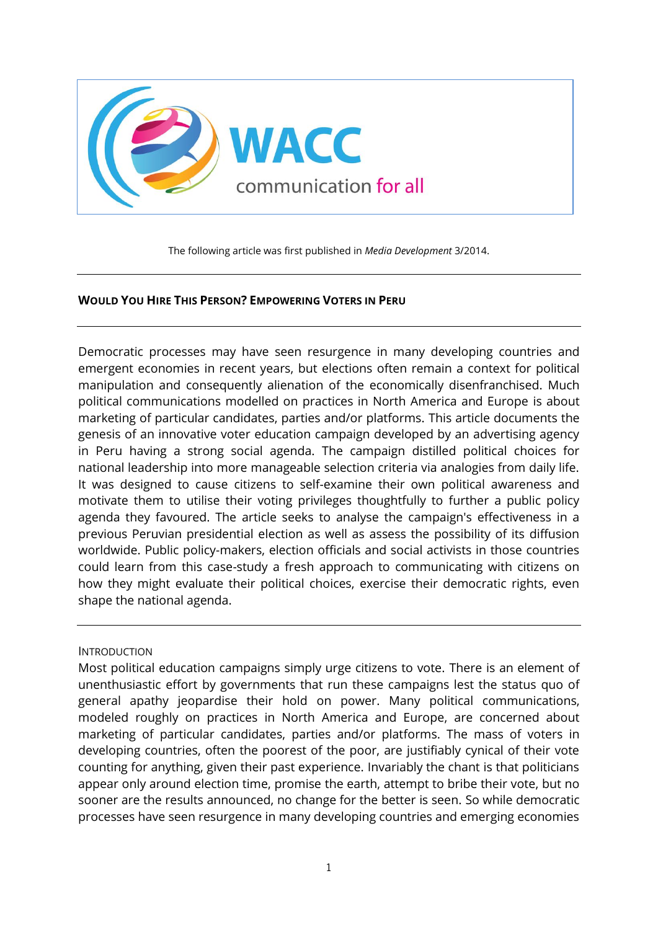

The following article was first published in *Media Development* 3/2014.

### **WOULD YOU HIRE THIS PERSON? EMPOWERING VOTERS IN PERU**

Democratic processes may have seen resurgence in many developing countries and emergent economies in recent years, but elections often remain a context for political manipulation and consequently alienation of the economically disenfranchised. Much political communications modelled on practices in North America and Europe is about marketing of particular candidates, parties and/or platforms. This article documents the genesis of an innovative voter education campaign developed by an advertising agency in Peru having a strong social agenda. The campaign distilled political choices for national leadership into more manageable selection criteria via analogies from daily life. It was designed to cause citizens to self-examine their own political awareness and motivate them to utilise their voting privileges thoughtfully to further a public policy agenda they favoured. The article seeks to analyse the campaign's effectiveness in a previous Peruvian presidential election as well as assess the possibility of its diffusion worldwide. Public policy-makers, election officials and social activists in those countries could learn from this case-study a fresh approach to communicating with citizens on how they might evaluate their political choices, exercise their democratic rights, even shape the national agenda.

#### INTRODUCTION

Most political education campaigns simply urge citizens to vote. There is an element of unenthusiastic effort by governments that run these campaigns lest the status quo of general apathy jeopardise their hold on power. Many political communications, modeled roughly on practices in North America and Europe, are concerned about marketing of particular candidates, parties and/or platforms. The mass of voters in developing countries, often the poorest of the poor, are justifiably cynical of their vote counting for anything, given their past experience. Invariably the chant is that politicians appear only around election time, promise the earth, attempt to bribe their vote, but no sooner are the results announced, no change for the better is seen. So while democratic processes have seen resurgence in many developing countries and emerging economies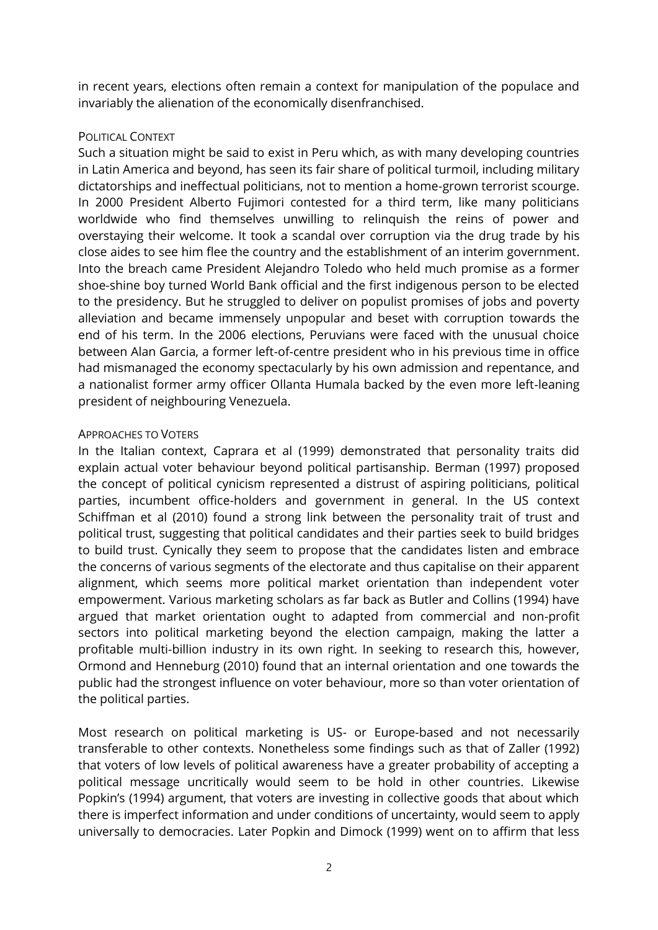in recent years, elections often remain a context for manipulation of the populace and invariably the alienation of the economically disenfranchised.

## POLITICAL CONTEXT

Such a situation might be said to exist in Peru which, as with many developing countries in Latin America and beyond, has seen its fair share of political turmoil, including military dictatorships and ineffectual politicians, not to mention a home-grown terrorist scourge. In 2000 President Alberto Fujimori contested for a third term, like many politicians worldwide who find themselves unwilling to relinquish the reins of power and overstaying their welcome. It took a scandal over corruption via the drug trade by his close aides to see him flee the country and the establishment of an interim government. Into the breach came President Alejandro Toledo who held much promise as a former shoe-shine boy turned World Bank official and the first indigenous person to be elected to the presidency. But he struggled to deliver on populist promises of jobs and poverty alleviation and became immensely unpopular and beset with corruption towards the end of his term. In the 2006 elections, Peruvians were faced with the unusual choice between Alan Garcia, a former left-of-centre president who in his previous time in office had mismanaged the economy spectacularly by his own admission and repentance, and a nationalist former army officer Ollanta Humala backed by the even more left-leaning president of neighbouring Venezuela.

### APPROACHES TO VOTERS

In the Italian context, Caprara et al (1999) demonstrated that personality traits did explain actual voter behaviour beyond political partisanship. Berman (1997) proposed the concept of political cynicism represented a distrust of aspiring politicians, political parties, incumbent office-holders and government in general. In the US context Schiffman et al (2010) found a strong link between the personality trait of trust and political trust, suggesting that political candidates and their parties seek to build bridges to build trust. Cynically they seem to propose that the candidates listen and embrace the concerns of various segments of the electorate and thus capitalise on their apparent alignment, which seems more political market orientation than independent voter empowerment. Various marketing scholars as far back as Butler and Collins (1994) have argued that market orientation ought to adapted from commercial and non-profit sectors into political marketing beyond the election campaign, making the latter a profitable multi-billion industry in its own right. In seeking to research this, however, Ormond and Henneburg (2010) found that an internal orientation and one towards the public had the strongest influence on voter behaviour, more so than voter orientation of the political parties.

Most research on political marketing is US- or Europe-based and not necessarily transferable to other contexts. Nonetheless some findings such as that of Zaller (1992) that voters of low levels of political awareness have a greater probability of accepting a political message uncritically would seem to be hold in other countries. Likewise Popkin's (1994) argument, that voters are investing in collective goods that about which there is imperfect information and under conditions of uncertainty, would seem to apply universally to democracies. Later Popkin and Dimock (1999) went on to affirm that less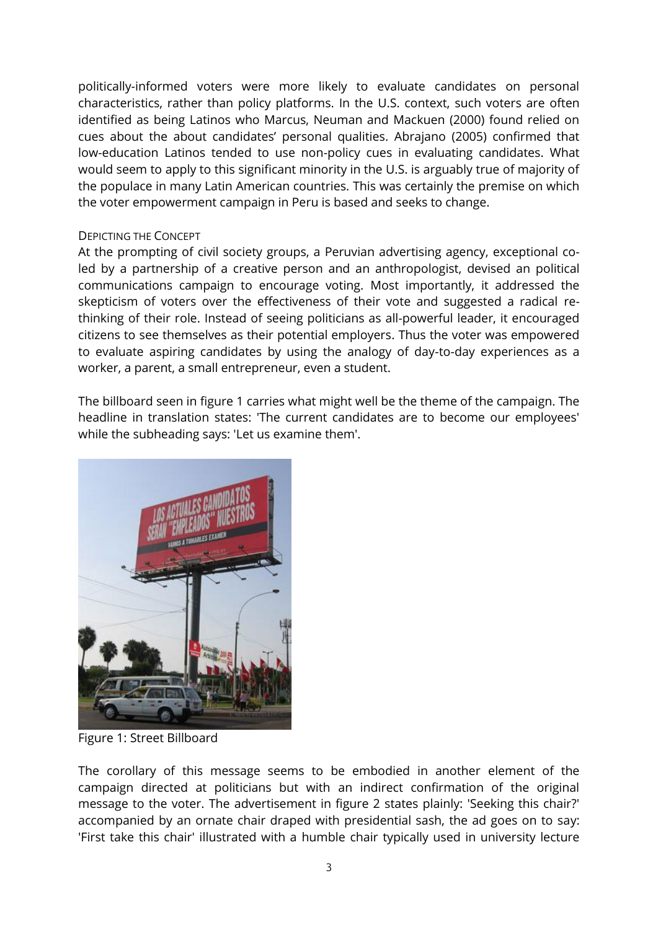politically-informed voters were more likely to evaluate candidates on personal characteristics, rather than policy platforms. In the U.S. context, such voters are often identified as being Latinos who Marcus, Neuman and Mackuen (2000) found relied on cues about the about candidates' personal qualities. Abrajano (2005) confirmed that low-education Latinos tended to use non-policy cues in evaluating candidates. What would seem to apply to this significant minority in the U.S. is arguably true of majority of the populace in many Latin American countries. This was certainly the premise on which the voter empowerment campaign in Peru is based and seeks to change.

## DEPICTING THE CONCEPT

At the prompting of civil society groups, a Peruvian advertising agency, exceptional coled by a partnership of a creative person and an anthropologist, devised an political communications campaign to encourage voting. Most importantly, it addressed the skepticism of voters over the effectiveness of their vote and suggested a radical rethinking of their role. Instead of seeing politicians as all-powerful leader, it encouraged citizens to see themselves as their potential employers. Thus the voter was empowered to evaluate aspiring candidates by using the analogy of day-to-day experiences as a worker, a parent, a small entrepreneur, even a student.

The billboard seen in figure 1 carries what might well be the theme of the campaign. The headline in translation states: 'The current candidates are to become our employees' while the subheading says: 'Let us examine them'.



Figure 1: Street Billboard

The corollary of this message seems to be embodied in another element of the campaign directed at politicians but with an indirect confirmation of the original message to the voter. The advertisement in figure 2 states plainly: 'Seeking this chair?' accompanied by an ornate chair draped with presidential sash, the ad goes on to say: 'First take this chair' illustrated with a humble chair typically used in university lecture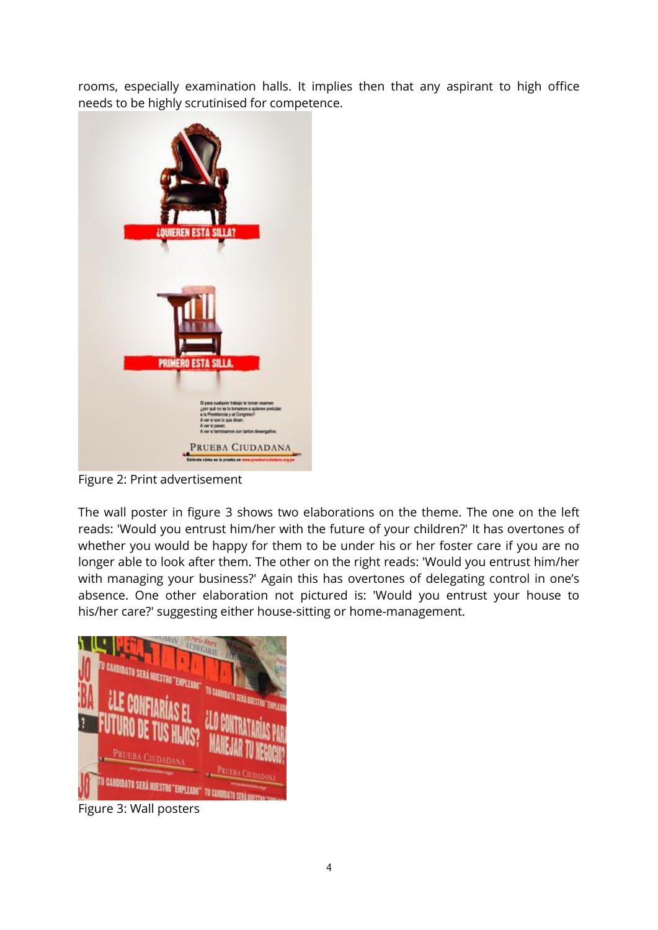rooms, especially examination halls. It implies then that any aspirant to high office needs to be highly scrutinised for competence.



Figure 2: Print advertisement

The wall poster in figure 3 shows two elaborations on the theme. The one on the left reads: 'Would you entrust him/her with the future of your children?' It has overtones of whether you would be happy for them to be under his or her foster care if you are no longer able to look after them. The other on the right reads: 'Would you entrust him/her with managing your business?' Again this has overtones of delegating control in one's absence. One other elaboration not pictured is: 'Would you entrust your house to his/her care?' suggesting either house-sitting or home-management.



Figure 3: Wall posters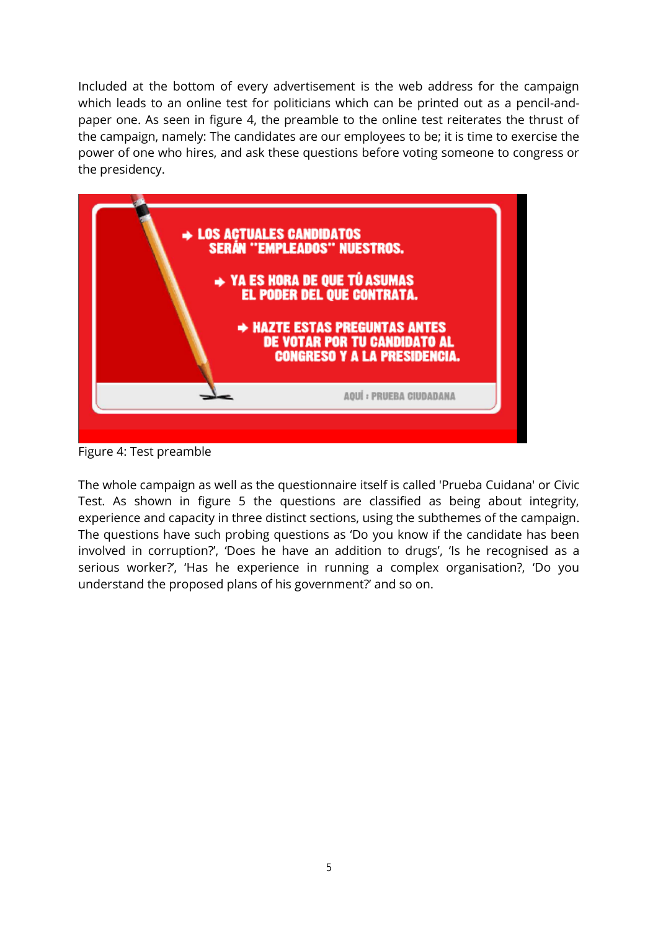Included at the bottom of every advertisement is the web address for the campaign which leads to an online test for politicians which can be printed out as a pencil-andpaper one. As seen in figure 4, the preamble to the online test reiterates the thrust of the campaign, namely: The candidates are our employees to be; it is time to exercise the power of one who hires, and ask these questions before voting someone to congress or the presidency.



Figure 4: Test preamble

The whole campaign as well as the questionnaire itself is called 'Prueba Cuidana' or Civic Test. As shown in figure 5 the questions are classified as being about integrity, experience and capacity in three distinct sections, using the subthemes of the campaign. The questions have such probing questions as 'Do you know if the candidate has been involved in corruption?', 'Does he have an addition to drugs', 'Is he recognised as a serious worker?', 'Has he experience in running a complex organisation?, 'Do you understand the proposed plans of his government?' and so on.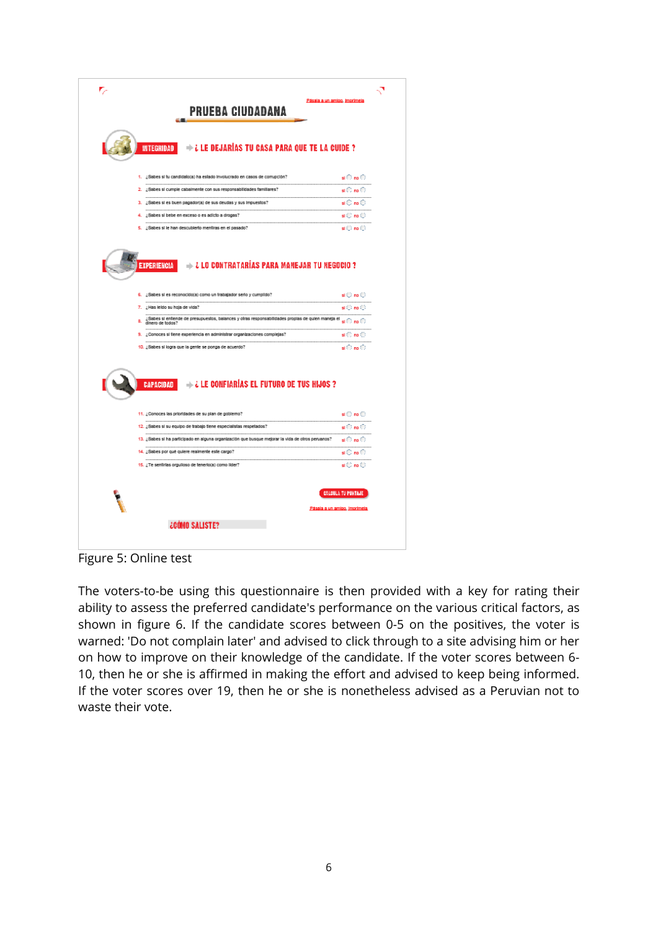| + ¿ LE DEJARÍAS TU CASA PARA QUE TE LA CUIDE ?<br><b>INTEGRIDAD</b>                                                                                                                |                                                                   |
|------------------------------------------------------------------------------------------------------------------------------------------------------------------------------------|-------------------------------------------------------------------|
| 1. ¿Sabes si fu candidato(a) ha estado involucrado en casos de comupción?                                                                                                          | ⊲⊙mo                                                              |
| 2. ¿Sabes si cumple cabalmente con sus responsabilidades familiares?                                                                                                               | si© no ⊙i<br>                                                     |
| 3. ¿Sabes si es buen pagador(a) de sus deudas y sus impuestos?                                                                                                                     | $\mathfrak{sl} \mathbb{C}$ no $\mathbb{O}$                        |
| 4. : Sabes si bebe en exceso o es adicto a drogas?                                                                                                                                 | si Cino O                                                         |
| 5. ¿Sabes si le han descubierto mentiras en el pasado?                                                                                                                             | si (C) no (C)                                                     |
| 7. ¿Has leido su hoja de vida?<br><br><br>Sabes si entiende de presupuestos, balances y otras responsabilidades propias de quien maneja el si ( ) no ( )<br>а.<br>dinero de todos? | sl(1,0)                                                           |
| <br>                                                                                                                                                                               |                                                                   |
|                                                                                                                                                                                    |                                                                   |
| 9. ¿Conoces si fiene experiencia en administrar organizaciones complejas?<br>10. ¿Sabes si logra que la gente se ponga de acuerdo?                                                 | $sl \mathbb{C}$ no $\mathbb{C}$<br>$\mathbf{sl} \odot$ no $\odot$ |
|                                                                                                                                                                                    |                                                                   |
| $\rightarrow$ $\lambda$ LE confiarias EL futuro de TUS Hijos ?<br>CAPACIDAD                                                                                                        |                                                                   |
| 11. ¿Conoces las prioridades de su plan de gobierno?<br>-------------------<br>$ -$                                                                                                | si () no ():                                                      |
| 12. ¿Sabes si su equipo de trabajo tiene especialistas respetados?                                                                                                                 | si⊙no⊖<br>.                                                       |
| 13. ¿Sabes si ha participado en alguna organización que busque mejorar la vida de otros peruanos?<br>---------------------                                                         | on ⊙s<br>--------------------                                     |
| 14. ¿Sabes por qué quiere realmente este cargo?<br><br>                                                                                                                            | si⊜ no ⊖<br>                                                      |
| 15. ¿Te sentirlas orgulloso de tenerio(a) como lider?                                                                                                                              | $\Box$ no $\Box$                                                  |
|                                                                                                                                                                                    | CALCULA TU PUNTAJE                                                |

Figure 5: Online test

The voters-to-be using this questionnaire is then provided with a key for rating their ability to assess the preferred candidate's performance on the various critical factors, as shown in figure 6. If the candidate scores between 0-5 on the positives, the voter is warned: 'Do not complain later' and advised to click through to a site advising him or her on how to improve on their knowledge of the candidate. If the voter scores between 6- 10, then he or she is affirmed in making the effort and advised to keep being informed. If the voter scores over 19, then he or she is nonetheless advised as a Peruvian not to waste their vote.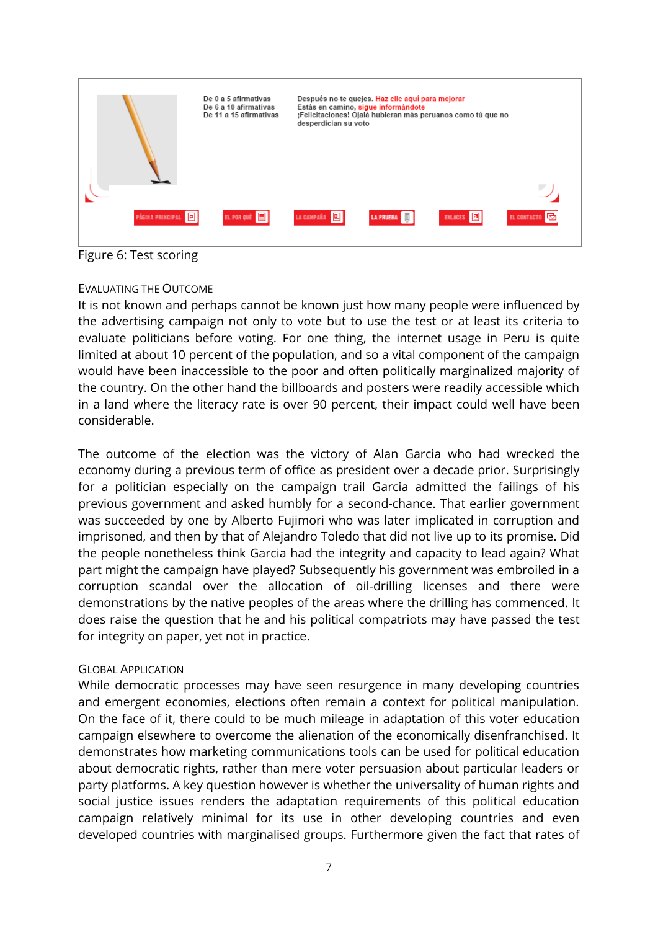

Figure 6: Test scoring

# EVALUATING THE OUTCOME

It is not known and perhaps cannot be known just how many people were influenced by the advertising campaign not only to vote but to use the test or at least its criteria to evaluate politicians before voting. For one thing, the internet usage in Peru is quite limited at about 10 percent of the population, and so a vital component of the campaign would have been inaccessible to the poor and often politically marginalized majority of the country. On the other hand the billboards and posters were readily accessible which in a land where the literacy rate is over 90 percent, their impact could well have been considerable.

The outcome of the election was the victory of Alan Garcia who had wrecked the economy during a previous term of office as president over a decade prior. Surprisingly for a politician especially on the campaign trail Garcia admitted the failings of his previous government and asked humbly for a second-chance. That earlier government was succeeded by one by Alberto Fujimori who was later implicated in corruption and imprisoned, and then by that of Alejandro Toledo that did not live up to its promise. Did the people nonetheless think Garcia had the integrity and capacity to lead again? What part might the campaign have played? Subsequently his government was embroiled in a corruption scandal over the allocation of oil-drilling licenses and there were demonstrations by the native peoples of the areas where the drilling has commenced. It does raise the question that he and his political compatriots may have passed the test for integrity on paper, yet not in practice.

## GLOBAL APPLICATION

While democratic processes may have seen resurgence in many developing countries and emergent economies, elections often remain a context for political manipulation. On the face of it, there could to be much mileage in adaptation of this voter education campaign elsewhere to overcome the alienation of the economically disenfranchised. It demonstrates how marketing communications tools can be used for political education about democratic rights, rather than mere voter persuasion about particular leaders or party platforms. A key question however is whether the universality of human rights and social justice issues renders the adaptation requirements of this political education campaign relatively minimal for its use in other developing countries and even developed countries with marginalised groups. Furthermore given the fact that rates of